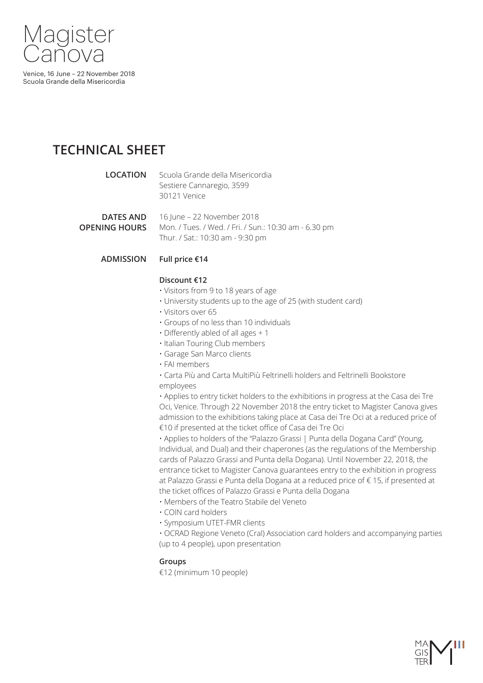

# **TECHNICAL SHEET**

**LOCATION** Scuola Grande della Misericordia Sestiere Cannaregio, 3599 30121 Venice

**DATES AND OPENING HOURS**  16 June – 22 November 2018 Mon. / Tues. / Wed. / Fri. / Sun.: 10:30 am - 6.30 pm Thur. / Sat.: 10:30 am - 9:30 pm

#### **ADMISSION Full price €14**

# **Discount €12**

- Visitors from 9 to 18 years of age
- University students up to the age of 25 (with student card)
- Visitors over 65
- Groups of no less than 10 individuals
- Differently abled of all ages + 1
- Italian Touring Club members
- Garage San Marco clients
- FAI members
- Carta Più and Carta MultiPiù Feltrinelli holders and Feltrinelli Bookstore employees

• Applies to entry ticket holders to the exhibitions in progress at the Casa dei Tre Oci, Venice. Through 22 November 2018 the entry ticket to Magister Canova gives admission to the exhibitions taking place at Casa dei Tre Oci at a reduced price of €10 if presented at the ticket office of Casa dei Tre Oci

• Applies to holders of the "Palazzo Grassi | Punta della Dogana Card" (Young, Individual, and Dual) and their chaperones (as the regulations of the Membership cards of Palazzo Grassi and Punta della Dogana). Until November 22, 2018, the entrance ticket to Magister Canova guarantees entry to the exhibition in progress at Palazzo Grassi e Punta della Dogana at a reduced price of € 15, if presented at the ticket offices of Palazzo Grassi e Punta della Dogana

- Members of the Teatro Stabile del Veneto
- COIN card holders
- Symposium UTET-FMR clients

• OCRAD Regione Veneto (Cral) Association card holders and accompanying parties (up to 4 people), upon presentation

# **Groups**

€12 (minimum 10 people)

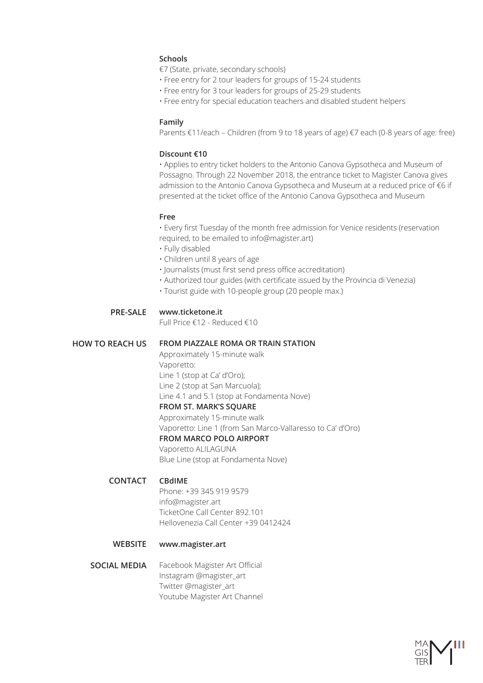# **Schools**

€7 (State, private, secondary schools)

- Free entry for 2 tour leaders for groups of 15-24 students
- Free entry for 3 tour leaders for groups of 25-29 students
- Free entry for special education teachers and disabled student helpers

### **Family**

Parents €11/each – Children (from 9 to 18 years of age) €7 each (0-8 years of age: free)

### **Discount €10**

• Applies to entry ticket holders to the Antonio Canova Gypsotheca and Museum of Possagno. Through 22 November 2018, the entrance ticket to Magister Canova gives admission to the Antonio Canova Gypsotheca and Museum at a reduced price of €6 if presented at the ticket office of the Antonio Canova Gypsotheca and Museum

#### **Free**

• Every first Tuesday of the month free admission for Venice residents (reservation required, to be emailed to info@magister.art)

- Fully disabled
- Children until 8 years of age
- Journalists (must first send press office accreditation)
- Authorized tour guides (with certificate issued by the Provincia di Venezia)
- Tourist guide with 10-people group (20 people max.)

#### **PRE-SALE www.ticketone.it**

Full Price €12 - Reduced €10

#### **HOW TO REACH US FROM PIAZZALE ROMA OR TRAIN STATION**

Approximately 15-minute walk Vaporetto: Line 1 (stop at Ca' d'Oro); Line 2 (stop at San Marcuola); Line 4.1 and 5.1 (stop at Fondamenta Nove)

### **FROM ST. MARK'S SQUARE**

Approximately 15-minute walk Vaporetto: Line 1 (from San Marco-Vallaresso to Ca' d'Oro) **FROM MARCO POLO AIRPORT**

Vaporetto ALILAGUNA Blue Line (stop at Fondamenta Nove)

#### **CONTACT CBdIME**

Phone: +39 345 919 9579 info@magister.art TicketOne Call Center 892.101 Hellovenezia Call Center +39 0412424

### **WEBSITE www.magister.art**

**SOCIAL MEDIA** Facebook Magister Art Official Instagram @magister\_art Twitter @magister\_art Youtube Magister Art Channel